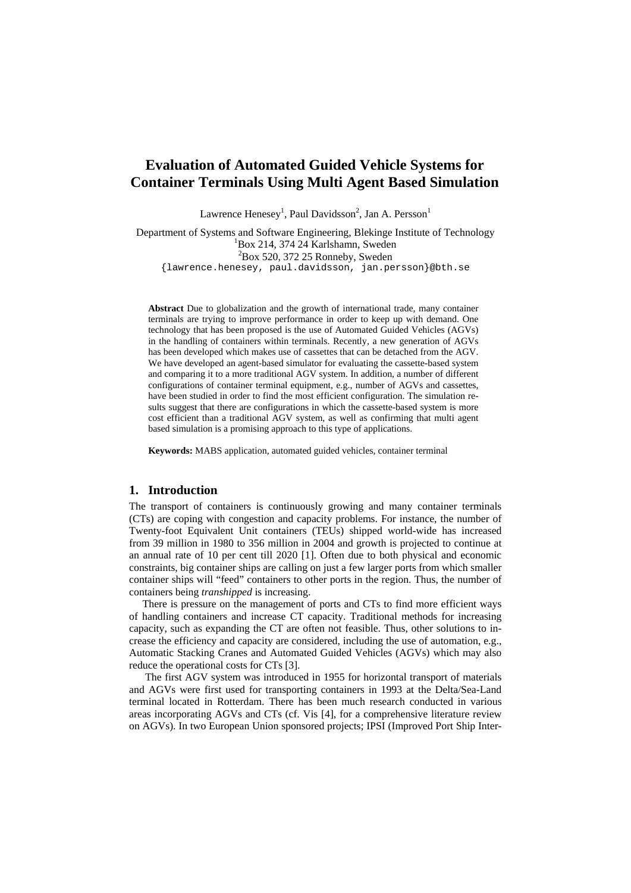# **Evaluation of Automated Guided Vehicle Systems for Container Terminals Using Multi Agent Based Simulation**

Lawrence Henesey<sup>1</sup>, Paul Davidsson<sup>2</sup>, Jan A. Persson<sup>1</sup>

Department of Systems and Software Engineering, Blekinge Institute of Technology 1 Box 214, 374 24 Karlshamn, Sweden  ${}^{2}$ Box 520, 372 25 Ronneby, Sweden {lawrence.henesey, paul.davidsson, jan.persson}@bth.se

**Abstract** Due to globalization and the growth of international trade, many container terminals are trying to improve performance in order to keep up with demand. One technology that has been proposed is the use of Automated Guided Vehicles (AGVs) in the handling of containers within terminals. Recently, a new generation of AGVs has been developed which makes use of cassettes that can be detached from the AGV. We have developed an agent-based simulator for evaluating the cassette-based system and comparing it to a more traditional AGV system. In addition, a number of different configurations of container terminal equipment, e.g., number of AGVs and cassettes, have been studied in order to find the most efficient configuration. The simulation results suggest that there are configurations in which the cassette-based system is more cost efficient than a traditional AGV system, as well as confirming that multi agent based simulation is a promising approach to this type of applications.

**Keywords:** MABS application, automated guided vehicles, container terminal

#### **1. Introduction**

The transport of containers is continuously growing and many container terminals (CTs) are coping with congestion and capacity problems. For instance, the number of Twenty-foot Equivalent Unit containers (TEUs) shipped world-wide has increased from 39 million in 1980 to 356 million in 2004 and growth is projected to continue at an annual rate of 10 per cent till 2020 [1]. Often due to both physical and economic constraints, big container ships are calling on just a few larger ports from which smaller container ships will "feed" containers to other ports in the region. Thus, the number of containers being *transhipped* is increasing.

 There is pressure on the management of ports and CTs to find more efficient ways of handling containers and increase CT capacity. Traditional methods for increasing capacity, such as expanding the CT are often not feasible. Thus, other solutions to increase the efficiency and capacity are considered, including the use of automation, e.g., Automatic Stacking Cranes and Automated Guided Vehicles (AGVs) which may also reduce the operational costs for CTs [3].

 The first AGV system was introduced in 1955 for horizontal transport of materials and AGVs were first used for transporting containers in 1993 at the Delta/Sea-Land terminal located in Rotterdam. There has been much research conducted in various areas incorporating AGVs and CTs (cf. Vis [4], for a comprehensive literature review on AGVs). In two European Union sponsored projects; IPSI (Improved Port Ship Inter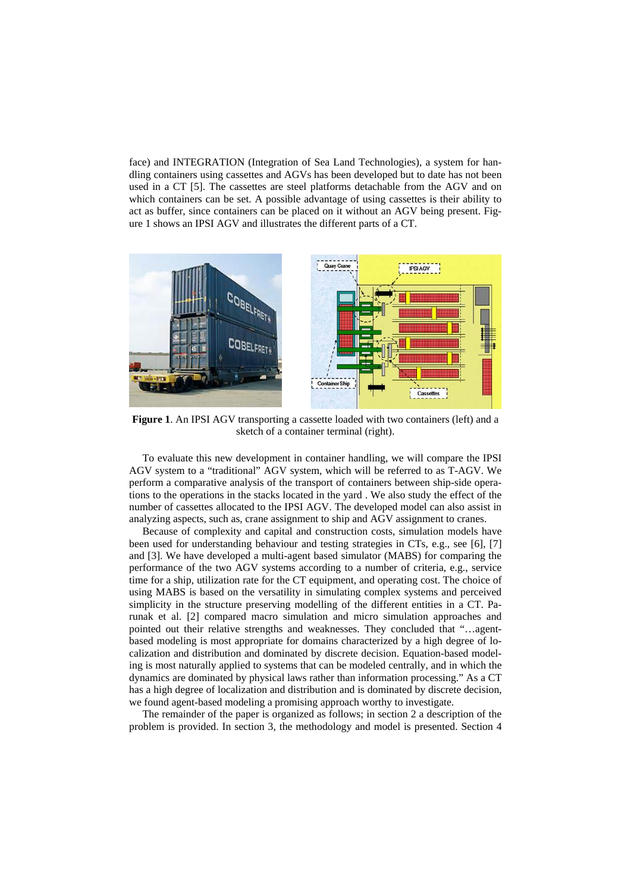face) and INTEGRATION (Integration of Sea Land Technologies), a system for handling containers using cassettes and AGVs has been developed but to date has not been used in a CT [5]. The cassettes are steel platforms detachable from the AGV and on which containers can be set. A possible advantage of using cassettes is their ability to act as buffer, since containers can be placed on it without an AGV being present. Figure 1 shows an IPSI AGV and illustrates the different parts of a CT.



**Figure 1**. An IPSI AGV transporting a cassette loaded with two containers (left) and a sketch of a container terminal (right).

 To evaluate this new development in container handling, we will compare the IPSI AGV system to a "traditional" AGV system, which will be referred to as T-AGV. We perform a comparative analysis of the transport of containers between ship-side operations to the operations in the stacks located in the yard . We also study the effect of the number of cassettes allocated to the IPSI AGV. The developed model can also assist in analyzing aspects, such as, crane assignment to ship and AGV assignment to cranes.

 Because of complexity and capital and construction costs, simulation models have been used for understanding behaviour and testing strategies in CTs, e.g., see [6], [7] and [3]. We have developed a multi-agent based simulator (MABS) for comparing the performance of the two AGV systems according to a number of criteria, e.g., service time for a ship, utilization rate for the CT equipment, and operating cost. The choice of using MABS is based on the versatility in simulating complex systems and perceived simplicity in the structure preserving modelling of the different entities in a CT. Parunak et al. [2] compared macro simulation and micro simulation approaches and pointed out their relative strengths and weaknesses. They concluded that "…agentbased modeling is most appropriate for domains characterized by a high degree of localization and distribution and dominated by discrete decision. Equation-based modeling is most naturally applied to systems that can be modeled centrally, and in which the dynamics are dominated by physical laws rather than information processing." As a CT has a high degree of localization and distribution and is dominated by discrete decision, we found agent-based modeling a promising approach worthy to investigate.

 The remainder of the paper is organized as follows; in section 2 a description of the problem is provided. In section 3, the methodology and model is presented. Section 4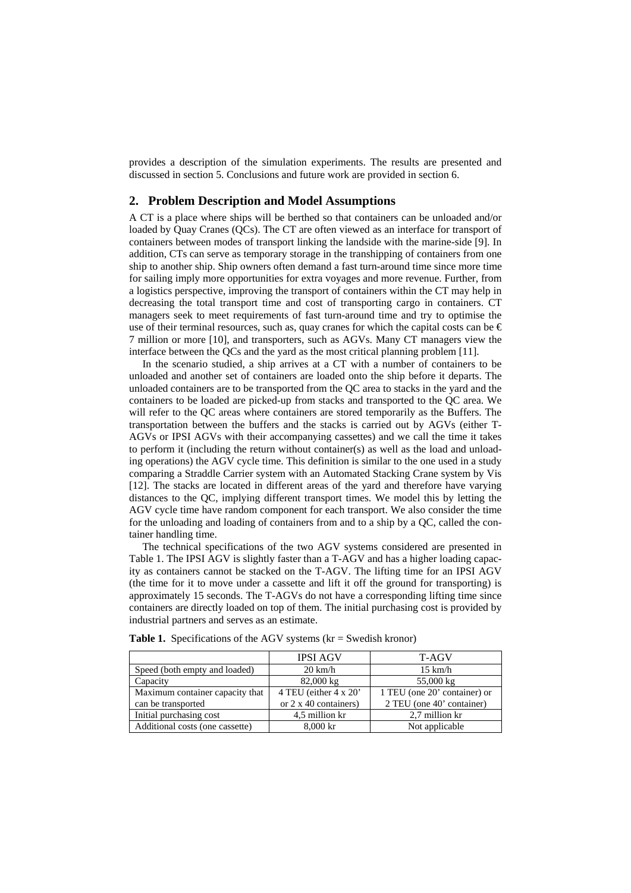provides a description of the simulation experiments. The results are presented and discussed in section 5. Conclusions and future work are provided in section 6.

### **2. Problem Description and Model Assumptions**

A CT is a place where ships will be berthed so that containers can be unloaded and/or loaded by Quay Cranes (QCs). The CT are often viewed as an interface for transport of containers between modes of transport linking the landside with the marine-side [9]. In addition, CTs can serve as temporary storage in the transhipping of containers from one ship to another ship. Ship owners often demand a fast turn-around time since more time for sailing imply more opportunities for extra voyages and more revenue. Further, from a logistics perspective, improving the transport of containers within the CT may help in decreasing the total transport time and cost of transporting cargo in containers. CT managers seek to meet requirements of fast turn-around time and try to optimise the use of their terminal resources, such as, quay cranes for which the capital costs can be  $\epsilon$ 7 million or more [10], and transporters, such as AGVs. Many CT managers view the interface between the QCs and the yard as the most critical planning problem [11].

 In the scenario studied, a ship arrives at a CT with a number of containers to be unloaded and another set of containers are loaded onto the ship before it departs. The unloaded containers are to be transported from the QC area to stacks in the yard and the containers to be loaded are picked-up from stacks and transported to the QC area. We will refer to the QC areas where containers are stored temporarily as the Buffers. The transportation between the buffers and the stacks is carried out by AGVs (either T-AGVs or IPSI AGVs with their accompanying cassettes) and we call the time it takes to perform it (including the return without container(s) as well as the load and unloading operations) the AGV cycle time. This definition is similar to the one used in a study comparing a Straddle Carrier system with an Automated Stacking Crane system by Vis [12]. The stacks are located in different areas of the yard and therefore have varying distances to the QC, implying different transport times. We model this by letting the AGV cycle time have random component for each transport. We also consider the time for the unloading and loading of containers from and to a ship by a QC, called the container handling time.

 The technical specifications of the two AGV systems considered are presented in Table 1. The IPSI AGV is slightly faster than a T-AGV and has a higher loading capacity as containers cannot be stacked on the T-AGV. The lifting time for an IPSI AGV (the time for it to move under a cassette and lift it off the ground for transporting) is approximately 15 seconds. The T-AGVs do not have a corresponding lifting time since containers are directly loaded on top of them. The initial purchasing cost is provided by industrial partners and serves as an estimate.

|                                 | <b>IPSI AGV</b>       | T-AGV                        |
|---------------------------------|-----------------------|------------------------------|
| Speed (both empty and loaded)   | $20 \text{ km/h}$     | $15 \text{ km/h}$            |
| Capacity                        | $82,000 \text{ kg}$   | 55,000 kg                    |
| Maximum container capacity that | 4 TEU (either 4 x 20' | 1 TEU (one 20' container) or |
| can be transported              | or 2 x 40 containers) | 2 TEU (one 40' container)    |
| Initial purchasing cost         | 4.5 million kr        | 2.7 million kr               |
| Additional costs (one cassette) | $8,000$ kr            | Not applicable               |

**Table 1.** Specifications of the AGV systems ( $kr = S$ wedish kronor)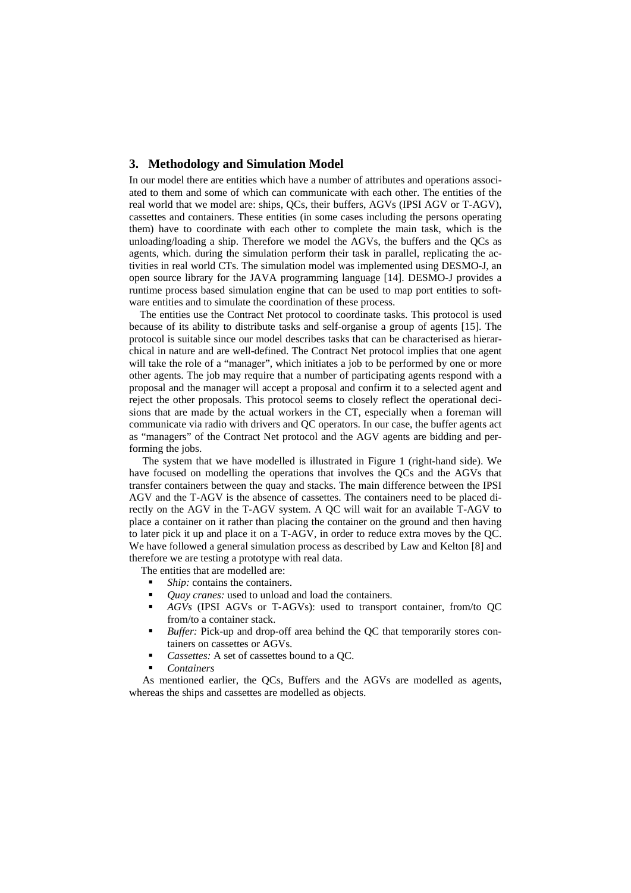# **3. Methodology and Simulation Model**

In our model there are entities which have a number of attributes and operations associated to them and some of which can communicate with each other. The entities of the real world that we model are: ships, QCs, their buffers, AGVs (IPSI AGV or T-AGV), cassettes and containers. These entities (in some cases including the persons operating them) have to coordinate with each other to complete the main task, which is the unloading/loading a ship. Therefore we model the AGVs, the buffers and the QCs as agents, which. during the simulation perform their task in parallel, replicating the activities in real world CTs. The simulation model was implemented using DESMO-J, an open source library for the JAVA programming language [14]. DESMO-J provides a runtime process based simulation engine that can be used to map port entities to software entities and to simulate the coordination of these process.

 The entities use the Contract Net protocol to coordinate tasks. This protocol is used because of its ability to distribute tasks and self-organise a group of agents [15]. The protocol is suitable since our model describes tasks that can be characterised as hierarchical in nature and are well-defined. The Contract Net protocol implies that one agent will take the role of a "manager", which initiates a job to be performed by one or more other agents. The job may require that a number of participating agents respond with a proposal and the manager will accept a proposal and confirm it to a selected agent and reject the other proposals. This protocol seems to closely reflect the operational decisions that are made by the actual workers in the CT, especially when a foreman will communicate via radio with drivers and QC operators. In our case, the buffer agents act as "managers" of the Contract Net protocol and the AGV agents are bidding and performing the jobs.

 The system that we have modelled is illustrated in Figure 1 (right-hand side). We have focused on modelling the operations that involves the QCs and the AGVs that transfer containers between the quay and stacks. The main difference between the IPSI AGV and the T-AGV is the absence of cassettes. The containers need to be placed directly on the AGV in the T-AGV system. A QC will wait for an available T-AGV to place a container on it rather than placing the container on the ground and then having to later pick it up and place it on a T-AGV, in order to reduce extra moves by the QC. We have followed a general simulation process as described by Law and Kelton [8] and therefore we are testing a prototype with real data.

The entities that are modelled are:

- *Ship:* contains the containers.
- *Quay cranes:* used to unload and load the containers.
- *AGVs* (IPSI AGVs or T-AGVs): used to transport container, from/to QC from/to a container stack.
- *Buffer:* Pick-up and drop-off area behind the QC that temporarily stores containers on cassettes or AGVs.
- *Cassettes:* A set of cassettes bound to a QC.
- *Containers*

 As mentioned earlier, the QCs, Buffers and the AGVs are modelled as agents, whereas the ships and cassettes are modelled as objects.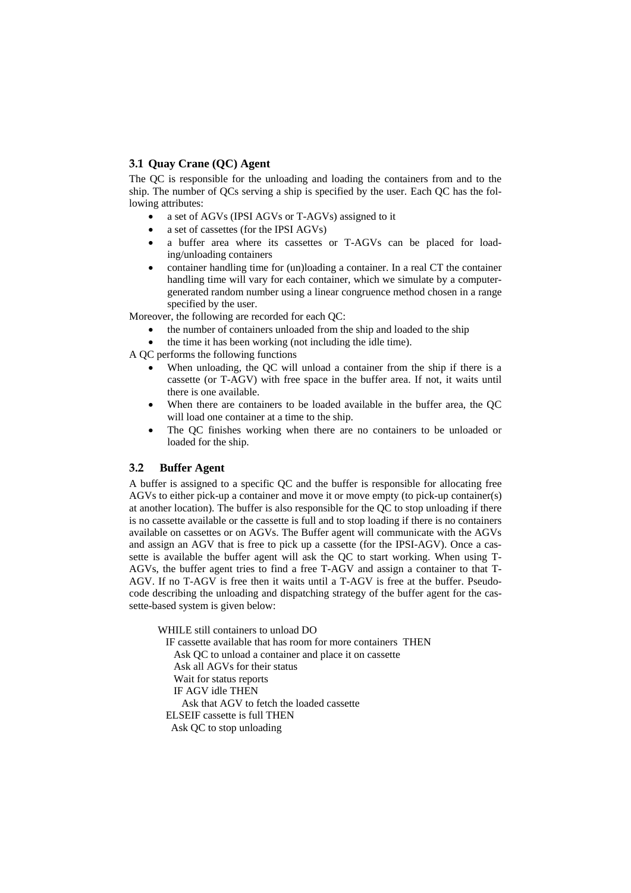# **3.1 Quay Crane (QC) Agent**

The QC is responsible for the unloading and loading the containers from and to the ship. The number of QCs serving a ship is specified by the user. Each QC has the following attributes:

- a set of AGVs (IPSI AGVs or T-AGVs) assigned to it
- a set of cassettes (for the IPSI AGVs)
- a buffer area where its cassettes or T-AGVs can be placed for loading/unloading containers
- container handling time for (un)loading a container. In a real CT the container handling time will vary for each container, which we simulate by a computergenerated random number using a linear congruence method chosen in a range specified by the user.

Moreover, the following are recorded for each QC:

- the number of containers unloaded from the ship and loaded to the ship
- the time it has been working (not including the idle time).

A QC performs the following functions

- When unloading, the QC will unload a container from the ship if there is a cassette (or T-AGV) with free space in the buffer area. If not, it waits until there is one available.
- When there are containers to be loaded available in the buffer area, the QC will load one container at a time to the ship.
- The QC finishes working when there are no containers to be unloaded or loaded for the ship.

# **3.2 Buffer Agent**

A buffer is assigned to a specific QC and the buffer is responsible for allocating free AGVs to either pick-up a container and move it or move empty (to pick-up container(s) at another location). The buffer is also responsible for the QC to stop unloading if there is no cassette available or the cassette is full and to stop loading if there is no containers available on cassettes or on AGVs. The Buffer agent will communicate with the AGVs and assign an AGV that is free to pick up a cassette (for the IPSI-AGV). Once a cassette is available the buffer agent will ask the QC to start working. When using T-AGVs, the buffer agent tries to find a free T-AGV and assign a container to that T-AGV. If no T-AGV is free then it waits until a T-AGV is free at the buffer. Pseudocode describing the unloading and dispatching strategy of the buffer agent for the cassette-based system is given below:

WHILE still containers to unload DO IF cassette available that has room for more containers THEN Ask QC to unload a container and place it on cassette Ask all AGVs for their status Wait for status reports IF AGV idle THEN Ask that AGV to fetch the loaded cassette ELSEIF cassette is full THEN Ask QC to stop unloading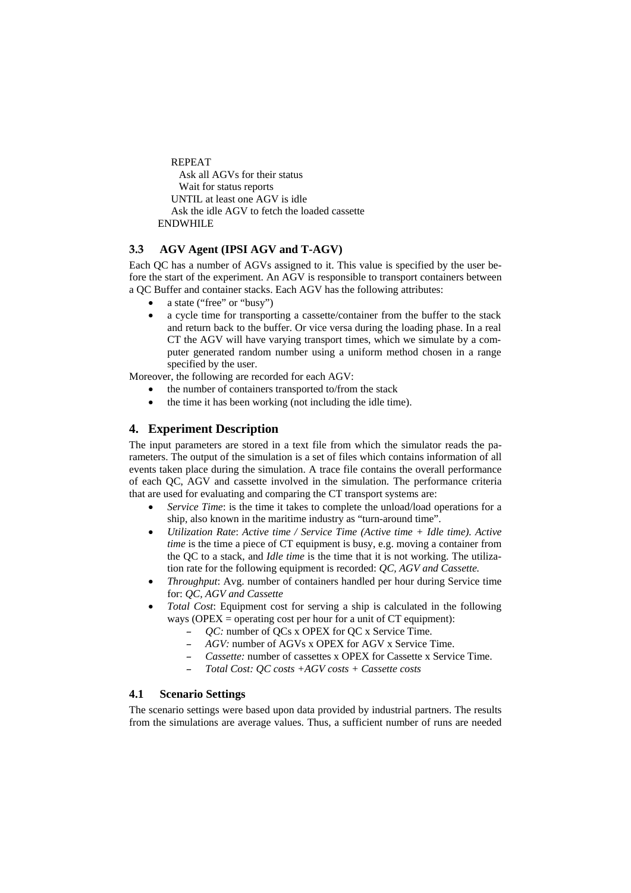REPEAT Ask all AGVs for their status Wait for status reports UNTIL at least one AGV is idle Ask the idle AGV to fetch the loaded cassette ENDWHILE

## **3.3 AGV Agent (IPSI AGV and T-AGV)**

Each QC has a number of AGVs assigned to it. This value is specified by the user before the start of the experiment. An AGV is responsible to transport containers between a QC Buffer and container stacks. Each AGV has the following attributes:

- a state ("free" or "busy")
- a cycle time for transporting a cassette/container from the buffer to the stack and return back to the buffer. Or vice versa during the loading phase. In a real CT the AGV will have varying transport times, which we simulate by a computer generated random number using a uniform method chosen in a range specified by the user.

Moreover, the following are recorded for each AGV:

- the number of containers transported to/from the stack
- the time it has been working (not including the idle time).

# **4. Experiment Description**

The input parameters are stored in a text file from which the simulator reads the parameters. The output of the simulation is a set of files which contains information of all events taken place during the simulation. A trace file contains the overall performance of each QC, AGV and cassette involved in the simulation. The performance criteria that are used for evaluating and comparing the CT transport systems are:

- Service Time: is the time it takes to complete the unload/load operations for a ship, also known in the maritime industry as "turn-around time".
- *Utilization Rate*: *Active time / Service Time (Active time + Idle time). Active time* is the time a piece of CT equipment is busy, e.g. moving a container from the QC to a stack, and *Idle time* is the time that it is not working. The utilization rate for the following equipment is recorded: *QC, AGV and Cassette.*
- *Throughput*: Avg. number of containers handled per hour during Service time for: *QC, AGV and Cassette*
- *Total Cost*: Equipment cost for serving a ship is calculated in the following ways (OPEX = operating cost per hour for a unit of CT equipment):
	- *QC:* number of QCs x OPEX for QC x Service Time.
	- *AGV:* number of AGVs x OPEX for AGV x Service Time.
	- *Cassette:* number of cassettes x OPEX for Cassette x Service Time.
	- *Total Cost: QC costs +AGV costs + Cassette costs*

# **4.1 Scenario Settings**

The scenario settings were based upon data provided by industrial partners. The results from the simulations are average values. Thus, a sufficient number of runs are needed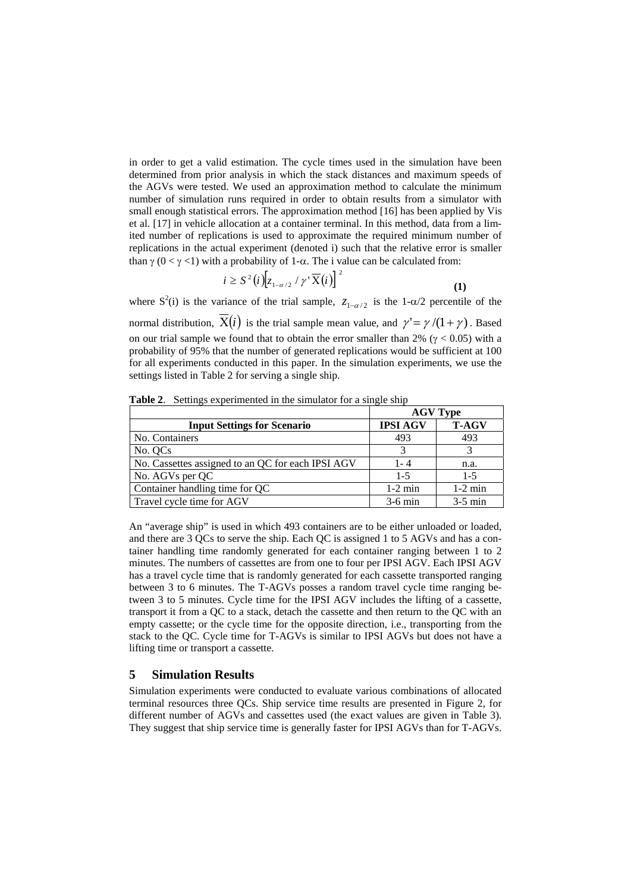in order to get a valid estimation. The cycle times used in the simulation have been determined from prior analysis in which the stack distances and maximum speeds of the AGVs were tested. We used an approximation method to calculate the minimum number of simulation runs required in order to obtain results from a simulator with small enough statistical errors. The approximation method [16] has been applied by Vis et al. [17] in vehicle allocation at a container terminal. In this method, data from a limited number of replications is used to approximate the required minimum number of replications in the actual experiment (denoted i) such that the relative error is smaller than  $\gamma$  (0 <  $\gamma$  < 1) with a probability of 1- $\alpha$ . The i value can be calculated from:

$$
i \geq S^2(i) \Big[ z_{1-\alpha/2} / \gamma' \overline{X}(i) \Big]^2 \tag{1}
$$

where S<sup>2</sup>(i) is the variance of the trial sample,  $z_{1-\alpha/2}$  is the 1- $\alpha/2$  percentile of the normal distribution,  $\overline{X}(i)$  is the trial sample mean value, and  $\gamma' = \gamma/(1+\gamma)$ . Based on our trial sample we found that to obtain the error smaller than 2% ( $\gamma$  < 0.05) with a probability of 95% that the number of generated replications would be sufficient at 100 for all experiments conducted in this paper. In the simulation experiments, we use the settings listed in Table 2 for serving a single ship.

|                                                   | <b>AGV Type</b> |              |  |
|---------------------------------------------------|-----------------|--------------|--|
| <b>Input Settings for Scenario</b>                | <b>IPSI AGV</b> | <b>T-AGV</b> |  |
| No. Containers                                    | 493             | 493          |  |
| No. QCs                                           |                 |              |  |
| No. Cassettes assigned to an QC for each IPSI AGV | $1 - 4$         | n.a.         |  |
| No. AGVs per QC                                   | $1 - 5$         | $1 - 5$      |  |
| Container handling time for QC                    | $1-2$ min       | $1-2$ min    |  |
| Travel cycle time for AGV                         | $3-6$ min       | $3-5$ min    |  |

**Table 2**. Settings experimented in the simulator for a single ship

An "average ship" is used in which 493 containers are to be either unloaded or loaded, and there are 3 QCs to serve the ship. Each QC is assigned 1 to 5 AGVs and has a container handling time randomly generated for each container ranging between 1 to 2 minutes. The numbers of cassettes are from one to four per IPSI AGV. Each IPSI AGV has a travel cycle time that is randomly generated for each cassette transported ranging between 3 to 6 minutes. The T-AGVs posses a random travel cycle time ranging between 3 to 5 minutes. Cycle time for the IPSI AGV includes the lifting of a cassette, transport it from a QC to a stack, detach the cassette and then return to the QC with an empty cassette; or the cycle time for the opposite direction, i.e., transporting from the stack to the QC. Cycle time for T-AGVs is similar to IPSI AGVs but does not have a lifting time or transport a cassette.

# **5 Simulation Results**

Simulation experiments were conducted to evaluate various combinations of allocated terminal resources three QCs. Ship service time results are presented in Figure 2, for different number of AGVs and cassettes used (the exact values are given in Table 3). They suggest that ship service time is generally faster for IPSI AGVs than for T-AGVs.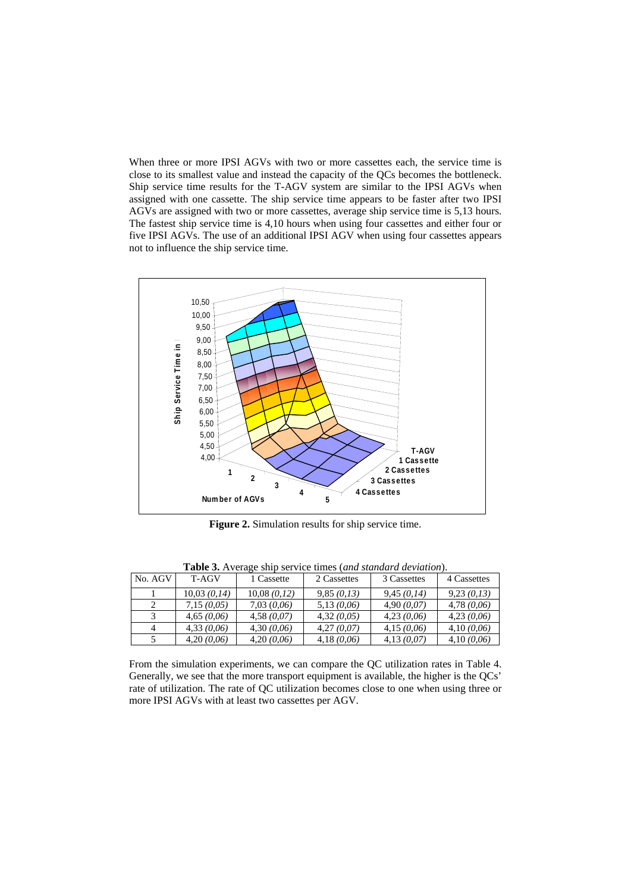When three or more IPSI AGVs with two or more cassettes each, the service time is close to its smallest value and instead the capacity of the QCs becomes the bottleneck. Ship service time results for the T-AGV system are similar to the IPSI AGVs when assigned with one cassette. The ship service time appears to be faster after two IPSI AGVs are assigned with two or more cassettes, average ship service time is 5,13 hours. The fastest ship service time is 4,10 hours when using four cassettes and either four or five IPSI AGVs. The use of an additional IPSI AGV when using four cassettes appears not to influence the ship service time.



**Figure 2.** Simulation results for ship service time.

| <b>Table</b> 5. Trenge sing service units ( <i>and shandard deviation</i> ). |             |             |             |             |             |  |
|------------------------------------------------------------------------------|-------------|-------------|-------------|-------------|-------------|--|
| No. AGV                                                                      | T-AGV       | 1 Cassette  | 2 Cassettes | 3 Cassettes | 4 Cassettes |  |
|                                                                              | 10,03(0,14) | 10,08(0,12) | 9,85(0,13)  | 9,45(0,14)  | 9,23(0,13)  |  |
|                                                                              | 7,15(0,05)  | 7,03(0,06)  | 5,13(0,06)  | 4,90(0,07)  | 4,78(0,06)  |  |
|                                                                              | 4,65(0,06)  | 4,58(0,07)  | 4,32(0,05)  | 4,23(0,06)  | 4,23(0,06)  |  |
| 4                                                                            | 4,33(0,06)  | 4.30(0.06)  | 4,27(0,07)  | 4,15(0,06)  | 4,10(0,06)  |  |
|                                                                              | 4,20(0,06)  | 4,20(0,06)  | 4,18(0,06)  | 4,13(0,07)  | 4,10(0,06)  |  |

**Table 3.** Average ship service times (*and standard deviation*).

From the simulation experiments, we can compare the QC utilization rates in Table 4. Generally, we see that the more transport equipment is available, the higher is the QCs' rate of utilization. The rate of QC utilization becomes close to one when using three or more IPSI AGVs with at least two cassettes per AGV.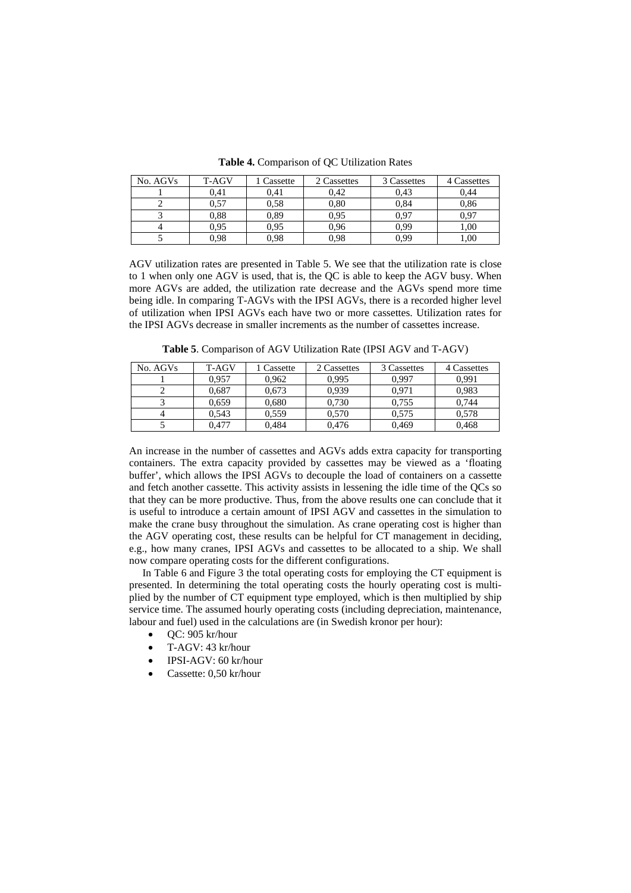| No. AGVs | T-AGV | <b>Cassette</b> | 2 Cassettes | 3 Cassettes | 4 Cassettes |
|----------|-------|-----------------|-------------|-------------|-------------|
|          | 0.41  | 0.41            | 0.42        | 0.43        | 0.44        |
|          | 0,57  | 0.58            | 0.80        | 0.84        | 0,86        |
|          | 0.88  | 0.89            | 0,95        | 0.97        | 0.97        |
|          | 0.95  | 0.95            | 0,96        | 0.99        | 1,00        |
|          | 0.98  | 0.98            | 0.98        | 0.99        | 1.00        |

**Table 4.** Comparison of QC Utilization Rates

AGV utilization rates are presented in Table 5. We see that the utilization rate is close to 1 when only one AGV is used, that is, the QC is able to keep the AGV busy. When more AGVs are added, the utilization rate decrease and the AGVs spend more time being idle. In comparing T-AGVs with the IPSI AGVs, there is a recorded higher level of utilization when IPSI AGVs each have two or more cassettes. Utilization rates for the IPSI AGVs decrease in smaller increments as the number of cassettes increase.

**Table 5**. Comparison of AGV Utilization Rate (IPSI AGV and T-AGV)

| No. AGVs | <b>T-AGV</b> | <b>Cassette</b> | 2 Cassettes | 3 Cassettes | 4 Cassettes |
|----------|--------------|-----------------|-------------|-------------|-------------|
|          | 0.957        | 0.962           | 0,995       | 0,997       | 0.991       |
|          | 0,687        | 0,673           | 0.939       | 0.971       | 0.983       |
|          | 0.659        | 0,680           | 0.730       | 0,755       | 0.744       |
|          | 0.543        | 0.559           | 0.570       | 0,575       | 0.578       |
|          | 0.477        | 0.484           | 0.476       | 0.469       | 0.468       |

An increase in the number of cassettes and AGVs adds extra capacity for transporting containers. The extra capacity provided by cassettes may be viewed as a 'floating buffer', which allows the IPSI AGVs to decouple the load of containers on a cassette and fetch another cassette. This activity assists in lessening the idle time of the QCs so that they can be more productive. Thus, from the above results one can conclude that it is useful to introduce a certain amount of IPSI AGV and cassettes in the simulation to make the crane busy throughout the simulation. As crane operating cost is higher than the AGV operating cost, these results can be helpful for CT management in deciding, e.g., how many cranes, IPSI AGVs and cassettes to be allocated to a ship. We shall now compare operating costs for the different configurations.

 In Table 6 and Figure 3 the total operating costs for employing the CT equipment is presented. In determining the total operating costs the hourly operating cost is multiplied by the number of CT equipment type employed, which is then multiplied by ship service time. The assumed hourly operating costs (including depreciation, maintenance, labour and fuel) used in the calculations are (in Swedish kronor per hour):

- $\bullet$  OC: 905 kr/hour
- T-AGV: 43 kr/hour
- IPSI-AGV: 60 kr/hour
- Cassette: 0,50 kr/hour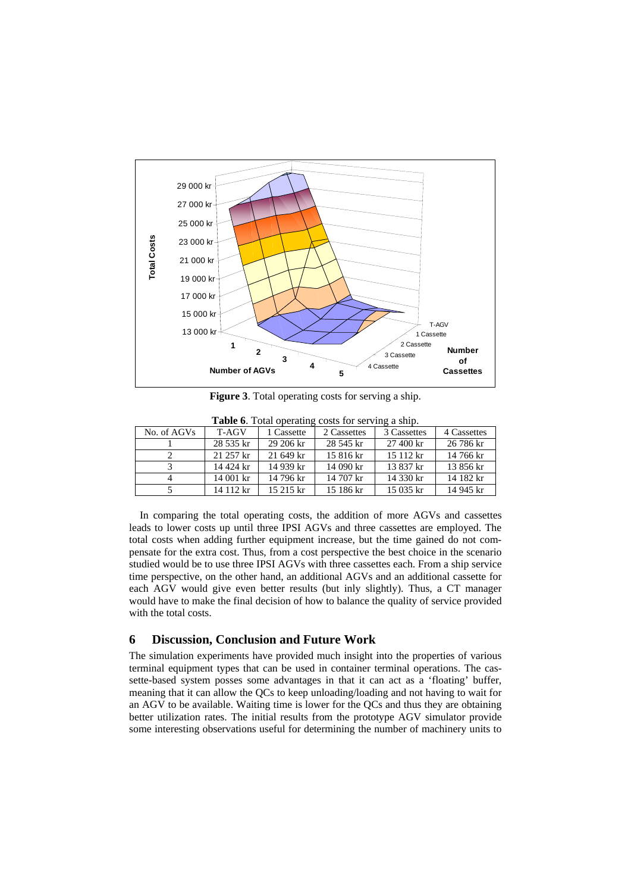

**Figure 3**. Total operating costs for serving a ship.

| No. of AGVs | T-AGV     | 1 Cassette | 2 Cassettes | 3 Cassettes        | 4 Cassettes |  |
|-------------|-----------|------------|-------------|--------------------|-------------|--|
|             | 28 535 kr | 29 206 kr  | 28 545 kr   | $27400$ kr         | 26 786 kr   |  |
|             | 21 257 kr | $21649$ kr | 15 816 kr   | $15112 \text{ kr}$ | 14 766 kr   |  |
|             | 14 424 kr | 14 939 kr  | 14 090 kr   | 13 837 kr          | 13 856 kr   |  |
|             | 14 001 kr | 14 796 kr  | 14 707 kr   | 14 330 kr          | 14 182 kr   |  |
|             | 14 112 kr | $15215$ kr | 15 186 kr   | 15 035 kr          | 14 945 kr   |  |

**Table 6**. Total operating costs for serving a ship.

 In comparing the total operating costs, the addition of more AGVs and cassettes leads to lower costs up until three IPSI AGVs and three cassettes are employed. The total costs when adding further equipment increase, but the time gained do not compensate for the extra cost. Thus, from a cost perspective the best choice in the scenario studied would be to use three IPSI AGVs with three cassettes each. From a ship service time perspective, on the other hand, an additional AGVs and an additional cassette for each AGV would give even better results (but inly slightly). Thus, a CT manager would have to make the final decision of how to balance the quality of service provided with the total costs.

#### **6 Discussion, Conclusion and Future Work**

The simulation experiments have provided much insight into the properties of various terminal equipment types that can be used in container terminal operations. The cassette-based system posses some advantages in that it can act as a 'floating' buffer, meaning that it can allow the QCs to keep unloading/loading and not having to wait for an AGV to be available. Waiting time is lower for the QCs and thus they are obtaining better utilization rates. The initial results from the prototype AGV simulator provide some interesting observations useful for determining the number of machinery units to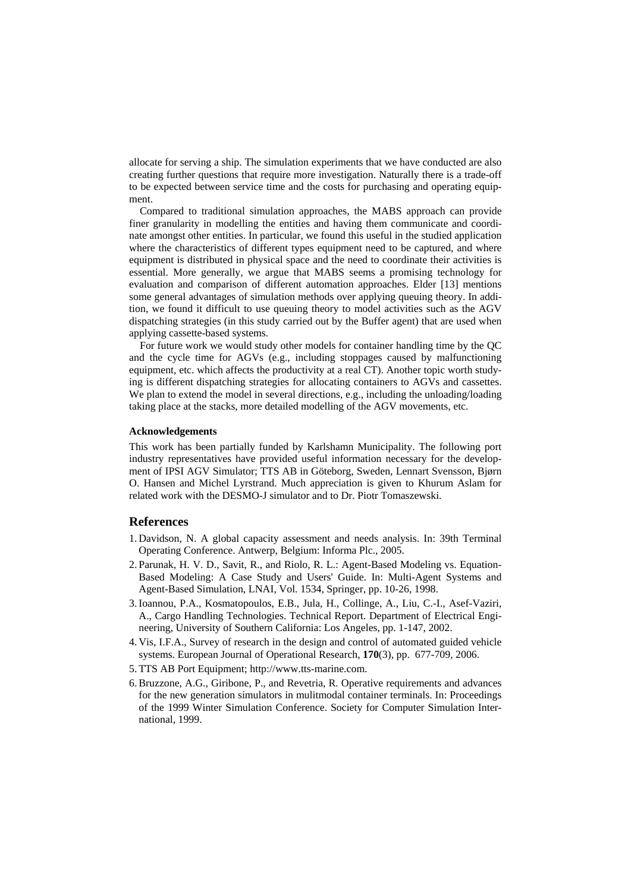allocate for serving a ship. The simulation experiments that we have conducted are also creating further questions that require more investigation. Naturally there is a trade-off to be expected between service time and the costs for purchasing and operating equipment.

 Compared to traditional simulation approaches, the MABS approach can provide finer granularity in modelling the entities and having them communicate and coordinate amongst other entities. In particular, we found this useful in the studied application where the characteristics of different types equipment need to be captured, and where equipment is distributed in physical space and the need to coordinate their activities is essential. More generally, we argue that MABS seems a promising technology for evaluation and comparison of different automation approaches. Elder [13] mentions some general advantages of simulation methods over applying queuing theory. In addition, we found it difficult to use queuing theory to model activities such as the AGV dispatching strategies (in this study carried out by the Buffer agent) that are used when applying cassette-based systems.

 For future work we would study other models for container handling time by the QC and the cycle time for AGVs (e.g., including stoppages caused by malfunctioning equipment, etc. which affects the productivity at a real CT). Another topic worth studying is different dispatching strategies for allocating containers to AGVs and cassettes. We plan to extend the model in several directions, e.g., including the unloading/loading taking place at the stacks, more detailed modelling of the AGV movements, etc.

#### **Acknowledgements**

This work has been partially funded by Karlshamn Municipality. The following port industry representatives have provided useful information necessary for the development of IPSI AGV Simulator; TTS AB in Göteborg, Sweden, Lennart Svensson, Bjørn O. Hansen and Michel Lyrstrand. Much appreciation is given to Khurum Aslam for related work with the DESMO-J simulator and to Dr. Piotr Tomaszewski.

# **References**

- 1. Davidson, N. A global capacity assessment and needs analysis. In: 39th Terminal Operating Conference. Antwerp, Belgium: Informa Plc., 2005.
- 2. Parunak, H. V. D., Savit, R., and Riolo, R. L.: Agent-Based Modeling vs. Equation-Based Modeling: A Case Study and Users' Guide. In: Multi-Agent Systems and Agent-Based Simulation, LNAI, Vol. 1534, Springer, pp. 10-26, 1998.
- 3. Ioannou, P.A., Kosmatopoulos, E.B., Jula, H., Collinge, A., Liu, C.-I., Asef-Vaziri, A., Cargo Handling Technologies. Technical Report. Department of Electrical Engineering, University of Southern California: Los Angeles, pp. 1-147, 2002.
- 4. Vis, I.F.A., Survey of research in the design and control of automated guided vehicle systems. European Journal of Operational Research, **170**(3), pp. 677-709, 2006.
- 5. TTS AB Port Equipment; http://www.tts-marine.com.
- 6. Bruzzone, A.G., Giribone, P., and Revetria, R. Operative requirements and advances for the new generation simulators in mulitmodal container terminals. In: Proceedings of the 1999 Winter Simulation Conference. Society for Computer Simulation International, 1999.